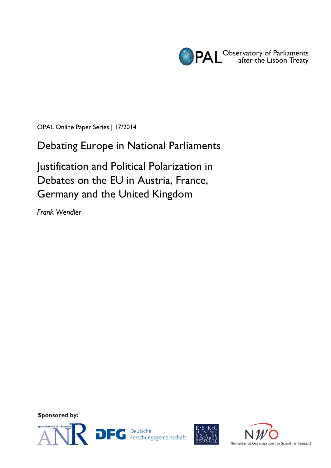

OPAL Online Paper Series | 17/2014

Debating Europe in National Parliaments

Justification and Political Polarization in Debates on the EU in Austria, France, Germany and the United Kingdom

*Frank Wendler*

**Sponsored by:**





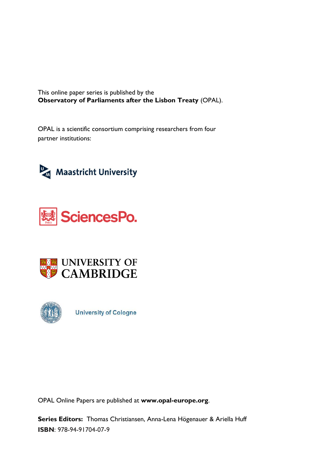This online paper series is published by the **Observatory of Parliaments after the Lisbon Treaty** (OPAL).

OPAL is a scientific consortium comprising researchers from four partner institutions:









**University of Cologne** 

OPAL Online Papers are published at **www.opal-europe.org**.

**Series Editors:** Thomas Christiansen, Anna-Lena Högenauer & Ariella Huff **ISBN**: 978-94-91704-07-9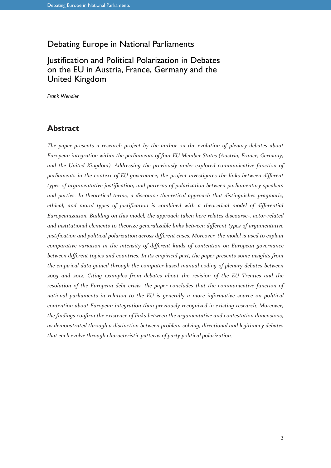## Debating Europe in National Parliaments

# Justification and Political Polarization in Debates on the EU in Austria, France, Germany and the United Kingdom

*Frank Wendler*

#### **Abstract**

*The paper presents a research project by the author on the evolution of plenary debates about European integration within the parliaments of four EU Member States (Austria, France, Germany, and the United Kingdom). Addressing the previously under-explored communicative function of parliaments in the context of EU governance, the project investigates the links between different types of argumentative justification, and patterns of polarization between parliamentary speakers and parties. In theoretical terms, a discourse theoretical approach that distinguishes pragmatic, ethical, and moral types of justification is combined with a theoretical model of differential Europeanization. Building on this model, the approach taken here relates discourse-, actor-related and institutional elements to theorize generalizable links between different types of argumentative justification and political polarization across different cases. Moreover, the model is used to explain comparative variation in the intensity of different kinds of contention on European governance between different topics and countries. In its empirical part, the paper presents some insights from the empirical data gained through the computer-based manual coding of plenary debates between 2005 and 2012. Citing examples from debates about the revision of the EU Treaties and the resolution of the European debt crisis, the paper concludes that the communicative function of national parliaments in relation to the EU is generally a more informative source on political contention about European integration than previously recognized in existing research. Moreover, the findings confirm the existence of links between the argumentative and contestation dimensions, as demonstrated through a distinction between problem-solving, directional and legitimacy debates that each evolve through characteristic patterns of party political polarization.*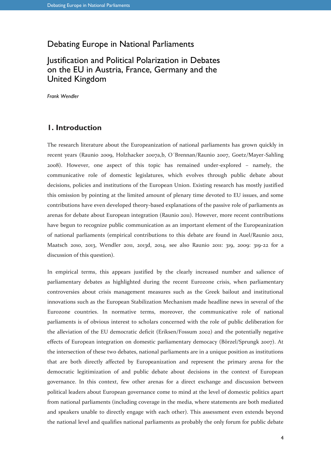## Debating Europe in National Parliaments

# Justification and Political Polarization in Debates on the EU in Austria, France, Germany and the United Kingdom

*Frank Wendler*

#### **1. Introduction**

The research literature about the Europeanization of national parliaments has grown quickly in recent years (Raunio 2009, Holzhacker 2007a,b, O´Brennan/Raunio 2007, Goetz/Mayer-Sahling 2008). However, one aspect of this topic has remained under-explored – namely, the communicative role of domestic legislatures, which evolves through public debate about decisions, policies and institutions of the European Union. Existing research has mostly justified this omission by pointing at the limited amount of plenary time devoted to EU issues, and some contributions have even developed theory-based explanations of the passive role of parliaments as arenas for debate about European integration (Raunio 2011). However, more recent contributions have begun to recognize public communication as an important element of the Europeanization of national parliaments (empirical contributions to this debate are found in Auel/Raunio 2012, Maatsch 2010, 2013, Wendler 2011, 2013d, 2014, see also Raunio 2011: 319, 2009: 319-22 for a discussion of this question).

In empirical terms, this appears justified by the clearly increased number and salience of parliamentary debates as highlighted during the recent Eurozone crisis, when parliamentary controversies about crisis management measures such as the Greek bailout and institutional innovations such as the European Stabilization Mechanism made headline news in several of the Eurozone countries. In normative terms, moreover, the communicative role of national parliaments is of obvious interest to scholars concerned with the role of public deliberation for the alleviation of the EU democratic deficit (Eriksen/Fossum 2002) and the potentially negative effects of European integration on domestic parliamentary democacy (Börzel/Sprungk 2007). At the intersection of these two debates, national parliaments are in a unique position as institutions that are both directly affected by Europeanization and represent the primary arena for the democratic legitimization of and public debate about decisions in the context of European governance. In this context, few other arenas for a direct exchange and discussion between political leaders about European governance come to mind at the level of domestic politics apart from national parliaments (including coverage in the media, where statements are both mediated and speakers unable to directly engage with each other). This assessment even extends beyond the national level and qualifies national parliaments as probably the only forum for public debate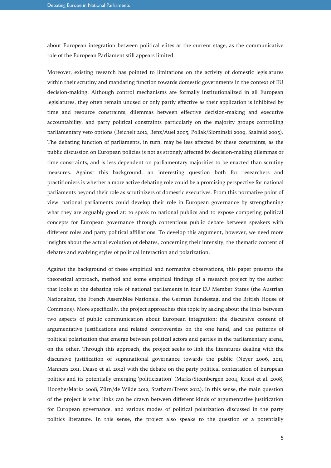about European integration between political elites at the current stage, as the communicative role of the European Parliament still appears limited.

Moreover, existing research has pointed to limitations on the activity of domestic legislatures within their scrutiny and mandating function towards domestic governments in the context of EU decision-making. Although control mechanisms are formally institutionalized in all European legislatures, they often remain unused or only partly effective as their application is inhibited by time and resource constraints, dilemmas between effective decision-making and executive accountability, and party political constraints particularly on the majority groups controlling parliamentary veto options (Beichelt 2012, Benz/Auel 2005, Pollak/Slominski 2009, Saalfeld 2005). The debating function of parliaments, in turn, may be less affected by these constraints, as the public discussion on European policies is not as strongly affected by decision-making dilemmas or time constraints, and is less dependent on parliamentary majorities to be enacted than scrutiny measures. Against this background, an interesting question both for researchers and practitioniers is whether a more active debating role could be a promising perspective for national parliaments beyond their role as scrutinizers of domestic executives. From this normative point of view, national parliaments could develop their role in European governance by strengthening what they are arguably good at: to speak to national publics and to expose competing political concepts for European governance through contentious public debate between speakers with different roles and party political affiliations. To develop this argument, however, we need more insights about the actual evolution of debates, concerning their intensity, the thematic content of debates and evolving styles of political interaction and polarization.

Against the background of these empirical and normative observations, this paper presents the theoretical approach, method and some empirical findings of a research project by the author that looks at the debating role of national parliaments in four EU Member States (the Austrian Nationalrat, the French Assemblée Nationale, the German Bundestag, and the British House of Commons). More specifically, the project approaches this topic by asking about the links between two aspects of public communication about European integration: the discursive content of argumentative justifications and related controversies on the one hand, and the patterns of political polarization that emerge between political actors and parties in the parliamentary arena, on the other. Through this approach, the project seeks to link the literatures dealing with the discursive justification of supranational governance towards the public (Neyer 2006, 2011, Manners 2011, Daase et al. 2012) with the debate on the party political contestation of European politics and its potentially emerging 'politicization' (Marks/Steenbergen 2004, Kriesi et al. 2008, Hooghe/Marks 2008, Zürn/de Wilde 2012, Statham/Trenz 2012). In this sense, the main question of the project is what links can be drawn between different kinds of argumentative justification for European governance, and various modes of political polarization discussed in the party politics literature. In this sense, the project also speaks to the question of a potentially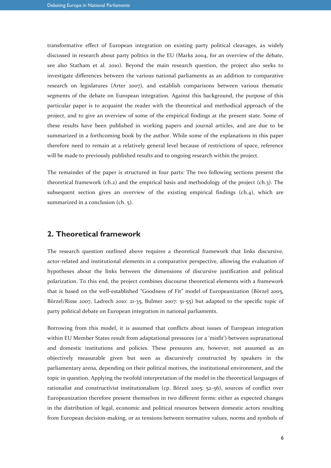transformative effect of European integration on existing party political cleavages, as widely discussed in research about party politics in the EU (Marks 2004, for an overview of the debate, see also Statham et al. 2010). Beyond the main research question, the project also seeks to investigate differences between the various national parliaments as an addition to comparative research on legislatures (Arter 2007), and establish comparisons between various thematic segments of the debate on European integration. Against this background, the purpose of this particular paper is to acquaint the reader with the theoretical and methodical approach of the project, and to give an overview of some of the empirical findings at the present state. Some of these results have been published in working papers and journal articles, and are due to be summarized in a forthcoming book by the author. While some of the explanations in this paper therefore need to remain at a relatively general level because of restrictions of space, reference will be made to previously published results and to ongoing research within the project.

The remainder of the paper is structured in four parts: The two following sections present the theoretical framework (ch.2) and the empirical basis and methodology of the project (ch.3). The subsequent section gives an overview of the existing empirical findings (ch.4), which are summarized in a conclusion (ch. 5).

#### **2. Theoretical framework**

The research question outlined above requires a theoretical framework that links discursive, actor-related and institutional elements in a comparative perspective, allowing the evaluation of hypotheses about the links between the dimensions of discursive justification and political polarization. To this end, the project combines discourse theoretical elements with a framework that is based on the well-established "Goodness of Fit" model of Europeanization (Börzel 2005, Börzel/Risse 2007, Ladrech 2010: 21-35, Bulmer 2007: 51-55) but adapted to the specific topic of party political debate on European integration in national parliaments.

Borrowing from this model, it is assumed that conflicts about issues of European integration within EU Member States result from adaptational pressures (or a 'misfit') between supranational and domestic institutions and policies. These pressures are, however, not assumed as an objectively measurable given but seen as discursively constructed by speakers in the parliamentary arena, depending on their political motives, the institutional environment, and the topic in question. Applying the twofold interpretation of the model in the theoretical languages of rationalist and constructivist institutionalism (cp. Börzel 2005: 52-56), sources of conflict over Europeanization therefore present themselves in two different forms: either as expected changes in the distribution of legal, economic and political resources between domestic actors resulting from European decision-making, or as tensions between normative values, norms and symbols of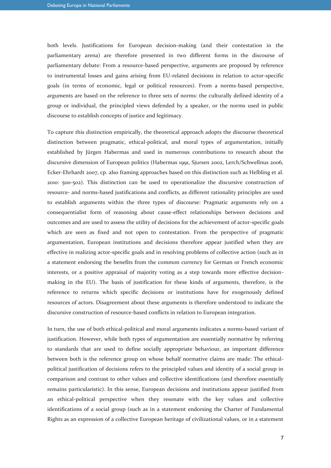both levels. Justifications for European decision-making (and their contestation in the parliamentary arena) are therefore presented in two different forms in the discourse of parliamentary debate: From a resource-based perspective, arguments are proposed by reference to instrumental losses and gains arising from EU-related decisions in relation to actor-specific goals (in terms of economic, legal or political resources). From a norms-based perspective, arguments are based on the reference to three sets of norms: the culturally defined identity of a group or individual, the principled views defended by a speaker, or the norms used in public discourse to establish concepts of justice and legitimacy.

To capture this distinction empirically, the theoretical approach adopts the discourse theoretical distinction between pragmatic, ethical-political, and moral types of argumentation, initially established by Jürgen Habermas and used in numerous contributions to research about the discursive dimension of European politics (Habermas 1991, Sjursen 2002, Lerch/Schwellnus 2006, Ecker-Ehrhardt 2007, cp. also framing approaches based on this distinction such as Helbling et al. 2010: 500-502). This distinction can be used to operationalize the discursive construction of resource- and norms-based justifications and conflicts, as different rationality principles are used to establish arguments within the three types of discourse: Pragmatic arguments rely on a consequentialist form of reasoning about cause-effect relationships between decisions and outcomes and are used to assess the utility of decisions for the achievement of actor-specific goals which are seen as fixed and not open to contestation. From the perspective of pragmatic argumentation, European institutions and decisions therefore appear justified when they are effective in realizing actor-specific goals and in resolving problems of collective action (such as in a statement endorsing the benefits from the common currency for German or French economic interests, or a positive appraisal of majority voting as a step towards more effective decisionmaking in the EU). The basis of justification for these kinds of arguments, therefore, is the reference to returns which specific decisions or institutions have for exogenously defined resources of actors. Disagreement about these arguments is therefore understood to indicate the discursive construction of resource-based conflicts in relation to European integration.

In turn, the use of both ethical-political and moral arguments indicates a norms-based variant of justification. However, while both types of argumentation are essentially normative by referring to standards that are used to define socially appropriate behaviour, an important difference between both is the reference group on whose behalf normative claims are made: The ethicalpolitical justification of decisions refers to the principled values and identity of a social group in comparison and contrast to other values and collective identifications (and therefore essentially remains particularistic). In this sense, European decisions and institutions appear justified from an ethical-political perspective when they resonate with the key values and collective identifications of a social group (such as in a statement endorsing the Charter of Fundamental Rights as an expression of a collective European heritage of civilizational values, or in a statement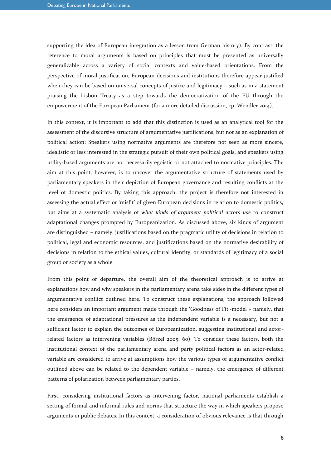supporting the idea of European integration as a lesson from German history). By contrast, the reference to moral arguments is based on principles that must be presented as universally generalizable across a variety of social contexts and value-based orientations. From the perspective of moral justification, European decisions and institutions therefore appear justified when they can be based on universal concepts of justice and legitimacy – such as in a statement praising the Lisbon Treaty as a step towards the democratization of the EU through the empowerment of the European Parliament (for a more detailed discussion, cp. Wendler 2014).

In this context, it is important to add that this distinction is used as an analytical tool for the assessment of the discursive structure of argumentative justifications, but not as an explanation of political action: Speakers using normative arguments are therefore not seen as more sincere, idealistic or less interested in the strategic pursuit of their own political goals, and speakers using utility-based arguments are not necessarily egoistic or not attached to normative principles. The aim at this point, however, is to uncover the argumentative structure of statements used by parliamentary speakers in their depiction of European governance and resulting conflicts at the level of domestic politics. By taking this approach, the project is therefore not interested in assessing the actual effect or 'misfit' of given European decisions in relation to domestic politics, but aims at a systematic analysis of *what kinds of argument political actors use* to construct adaptational changes prompted by Europeanization. As discussed above, six kinds of argument are distinguished – namely, justifications based on the pragmatic utility of decisions in relation to political, legal and economic resources, and justifications based on the normative desirability of decisions in relation to the ethical values, cultural identity, or standards of legitimacy of a social group or society as a whole.

From this point of departure, the overall aim of the theoretical approach is to arrive at explanations how and why speakers in the parliamentary arena take sides in the different types of argumentative conflict outlined here. To construct these explanations, the approach followed here considers an important argument made through the 'Goodness of Fit'-model – namely, that the emergence of adaptational pressures as the independent variable is a necessary, but not a sufficient factor to explain the outcomes of Europeanization, suggesting institutional and actorrelated factors as intervening variables (Börzel 2005: 60). To consider these factors, both the institutional context of the parliamentary arena and party political factors as an actor-related variable are considered to arrive at assumptions how the various types of argumentative conflict outlined above can be related to the dependent variable – namely, the emergence of different patterns of polarization between parliamentary parties.

First, considering institutional factors as intervening factor, national parliaments establish a setting of formal and informal rules and norms that structure the way in which speakers propose arguments in public debates. In this context, a consideration of obvious relevance is that through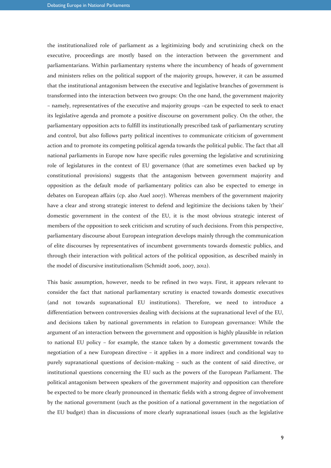the institutionalized role of parliament as a legitimizing body and scrutinizing check on the executive, proceedings are mostly based on the interaction between the government and parliamentarians. Within parliamentary systems where the incumbency of heads of government and ministers relies on the political support of the majority groups, however, it can be assumed that the institutional antagonism between the executive and legislative branches of government is transformed into the interaction between two groups: On the one hand, the government majority – namely, representatives of the executive and majority groups –can be expected to seek to enact its legislative agenda and promote a positive discourse on government policy. On the other, the parliamentary opposition acts to fulfill its institutionally prescribed task of parliamentary scrutiny and control, but also follows party political incentives to communicate criticism of government action and to promote its competing political agenda towards the political public. The fact that all national parliaments in Europe now have specific rules governing the legislative and scrutinizing role of legislatures in the context of EU governance (that are sometimes even backed up by constitutional provisions) suggests that the antagonism between government majority and opposition as the default mode of parliamentary politics can also be expected to emerge in debates on European affairs (cp. also Auel 2007). Whereas members of the government majority have a clear and strong strategic interest to defend and legitimize the decisions taken by 'their' domestic government in the context of the EU, it is the most obvious strategic interest of members of the opposition to seek criticism and scrutiny of such decisions. From this perspective, parliamentary discourse about European integration develops mainly through the communication of elite discourses by representatives of incumbent governments towards domestic publics, and through their interaction with political actors of the political opposition, as described mainly in the model of discursive institutionalism (Schmidt 2006, 2007, 2012).

This basic assumption, however, needs to be refined in two ways. First, it appears relevant to consider the fact that national parliamentary scrutiny is enacted towards domestic executives (and not towards supranational EU institutions). Therefore, we need to introduce a differentiation between controversies dealing with decisions at the supranational level of the EU, and decisions taken by national governments in relation to European governance: While the argument of an interaction between the government and opposition is highly plausible in relation to national EU policy – for example, the stance taken by a domestic government towards the negotiation of a new European directive – it applies in a more indirect and conditional way to purely supranational questions of decision-making – such as the content of said directive, or institutional questions concerning the EU such as the powers of the European Parliament. The political antagonism between speakers of the government majority and opposition can therefore be expected to be more clearly pronounced in thematic fields with a strong degree of involvement by the national government (such as the position of a national government in the negotiation of the EU budget) than in discussions of more clearly supranational issues (such as the legislative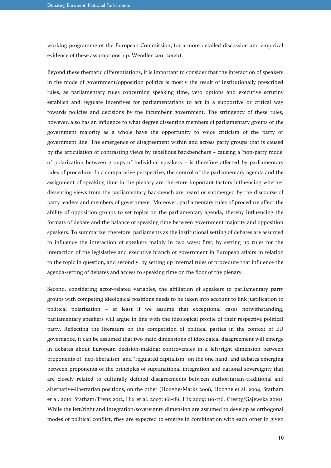working programme of the European Commission; for a more detailed discussion and empirical evidence of these assumptions, cp. Wendler 2011, 2012b).

Beyond these thematic differentiations, it is important to consider that the interaction of speakers in the mode of government/opposition politics is mostly the result of institutionally prescribed rules, as parliamentary rules concerning speaking time, veto options and executive scrutiny establish and regulate incentives for parliamentarians to act in a supportive or critical way towards policies and decisions by the incumbent government. The stringency of these rules, however, also has an influence to what degree dissenting members of parliamentary groups or the government majority as a whole have the opportunity to voice criticism of the party or government line. The emergence of disagreement within and across party groups that is caused by the articulation of contrasting views by rebellious backbenchers – causing a 'non-party mode' of polarization between groups of individual speakers – is therefore affected by parliamentary rules of procedure. In a comparative perspective, the control of the parliamentary agenda and the assignment of speaking time in the plenary are therefore important factors influencing whether dissenting views from the parliamentary backbench are heard or submerged by the discourse of party leaders and members of government. Moreover, parliamentary rules of procedure affect the ability of opposition groups to set topics on the parliamentary agenda, thereby influencing the formats of debate and the balance of speaking time between government majority and opposition speakers. To summarize, therefore, parliaments as the institutional setting of debates are assumed to influence the interaction of speakers mainly in two ways: first, by setting up rules for the interaction of the legislative and executive branch of government in European affairs in relation to the topic in question, and secondly, by setting up internal rules of procedure that influence the agenda-setting of debates and access to speaking time on the floor of the plenary.

Second, considering actor-related variables, the affiliation of speakers to parliamentary party groups with competing ideological positions needs to be taken into account to link justification to political polarization – at least if we assume that exceptional cases notwithstanding, parliamentary speakers will argue in line with the ideological profile of their respective political party. Reflecting the literature on the competition of political parties in the context of EU governance, it can be assumed that two main dimensions of ideological disagreement will emerge in debates about European decision-making: controversies in a left/right dimension between proponents of "neo-liberalism" and "regulated capitalism" on the one hand, and debates emerging between proponents of the principles of supranational integration and national sovereignty that are closely related to culturally defined disagreements between authoritarian-traditional and alternative-libertarian positions, on the other (Hooghe/Marks 2008, Hooghe et al. 2004, Statham et al. 2010, Statham/Trenz 2012, Hix et al. 2007: 161-181, Hix 2009: 110-136, Crespy/Gajewska 2010). While the left/right and integration/sovereignty dimension are assumed to develop as orthogonal modes of political conflict, they are expected to emerge in combination with each other in given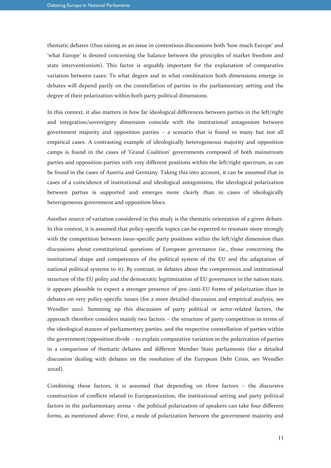thematic debates (thus raising as an issue in contentious discussions both 'how much Europe' and 'what Europe' is desired concerning the balance between the principles of market freedom and state interventionism). This factor is arguably important for the explanation of comparative variation between cases: To what degree and in what combination both dimensions emerge in debates will depend partly on the constellation of parties in the parliamentary setting and the degree of their polarization within both party political dimensions.

In this context, it also matters in how far ideological differences between parties in the left/right and integration/sovereignty dimension coincide with the institutional antagonism between government majority and opposition parties – a scenario that is found in many but not all empirical cases. A contrasting example of ideologically heterogeneous majority and opposition camps is found in the cases of 'Grand Coalition' governments composed of both mainstream parties and opposition parties with very different positions within the left/right spectrum, as can be found in the cases of Austria and Germany. Taking this into account, it can be assumed that in cases of a coincidence of institutional and ideological antagonisms, the ideological polarization between parties is supported and emerges more clearly than in cases of ideologically heterogeneous government and opposition blocs.

Another source of variation considered in this study is the thematic orientation of a given debate. In this context, it is assumed that policy-specific topics can be expected to resonate more strongly with the competition between issue-specific party positions within the left/right dimension than discussions about constitutional questions of European governance (ie., those concerning the institutional shape and competences of the political system of the EU and the adaptation of national political systems to it). By contrast, in debates about the competences and institutional structure of the EU polity and the democratic legitimization of EU governance in the nation state, it appears plausible to expect a stronger presence of pro-/anti-EU forms of polarization than in debates on very policy-specific issues (for a more detailed discussion and empirical analysis, see Wendler 2011). Summing up this discussion of party political or actor-related factors, the approach therefore considers mainly two factors – the structure of party competition in terms of the ideological stances of parliamentary parties, and the respective constellation of parties within the government/opposition divide – to explain comparative variation in the polarization of parties in a comparison of thematic debates and different Member State parliaments (for a detailed discussion dealing with debates on the resolution of the European Debt Crisis, see Wendler 2012d).

Combining these factors, it is assumed that depending on three factors – the discursive construction of conflicts related to Europeanization, the institutional setting and party political factors in the parliamentary arena – the political polarization of speakers can take four different forms, as mentioned above: First, a mode of polarization between the government majority and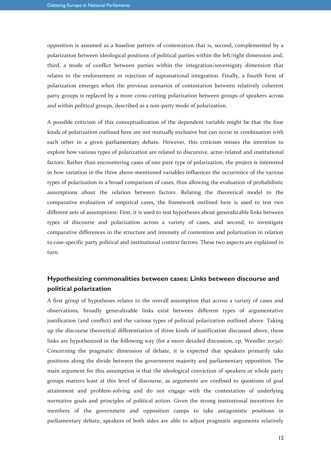opposition is assumed as a baseline pattern of contestation that is, second, complemented by a polarization between ideological positions of political parties within the left/right dimension and, third, a mode of conflict between parties within the integration/sovereignty dimension that relates to the endorsement or rejection of supranational integration. Finally, a fourth form of polarization emerges when the previous scenarios of contestation between relatively coherent party groups is replaced by a more cross-cutting polarization between groups of speakers across and within political groups, described as a non-party mode of polarization.

A possible criticism of this conceptualization of the dependent variable might be that the four kinds of polarization outlined here are not mutually exclusive but can occur in combination with each other in a given parliamentary debate. However, this criticism misses the intention to explore how various types of polarization are related to discursive, actor-related and institutional factors: Rather than encountering cases of one pure type of polarization, the project is interested in how variation in the three above-mentioned variables influences the occurrence of the various types of polarization in a broad comparison of cases, thus allowing the evaluation of probabilistic assumptions about the relation between factors. Relating the theoretical model to the comparative evaluation of empirical cases, the framework outlined here is used to test two different sets of assumptions: First, it is used to test hypotheses about generalizable links between types of discourse and polarization across a variety of cases, and second, to investigate comparative differences in the structure and intensity of contention and polarization in relation to case-specific party political and institutional context factors. These two aspects are explained in turn.

#### **Hypothesizing commonalities between cases: Links between discourse and political polarization**

A first group of hypotheses relates to the overall assumption that across a variety of cases and observations, broadly generalizable links exist between different types of argumentative justification (and conflict) and the various types of politcial polarization outlined above. Taking up the discourse theoretical differentiation of three kinds of justification discussed above, these links are hypothesized in the following way (for a more detailed discussion, cp. Wendler 2013a): Concerning the pragmatic dimension of debate, it is expected that speakers primarily take positions along the divide between the government majority and parliamentary opposition. The main argument for this assumption is that the ideological conviction of speakers or whole party groups matters least at this level of discourse, as arguments are confined to questions of goal attainment and problem-solving and do not engage with the contestation of underlying normative goals and principles of political action. Given the strong institutional incentives for members of the government and opposition camps to take antagonistic positions in parliamentary debate, speakers of both sides are able to adjust pragmatic arguments relatively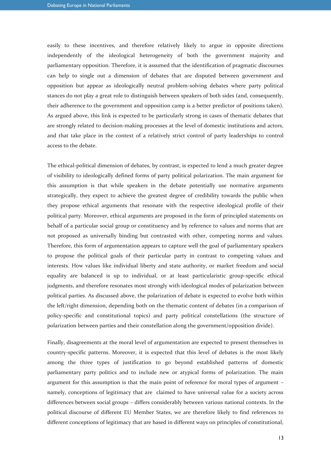easily to these incentives, and therefore relatively likely to argue in opposite directions independently of the ideological heterogeneity of both the government majority and parliamentary opposition. Therefore, it is assumed that the identification of pragmatic discourses can help to single out a dimension of debates that are disputed between government and opposition but appear as ideologically neutral problem-solving debates where party political stances do not play a great role to distinguish between speakers of both sides (and, consequently, their adherence to the government and opposition camp is a better predictor of positions taken). As argued above, this link is expected to be particularly strong in cases of thematic debates that are strongly related to decision-making processes at the level of domestic institutions and actors, and that take place in the context of a relatively strict control of party leaderships to control access to the debate.

The ethical-political dimension of debates, by contrast, is expected to lend a much greater degree of visibility to ideologically defined forms of party political polarization. The main argument for this assumption is that while speakers in the debate potentially use normative arguments strategically, they expect to achieve the greatest degree of credibility towards the public when they propose ethical arguments that resonate with the respective ideological profile of their political party. Moreover, ethical arguments are proposed in the form of principled statements on behalf of a particular social group or constituency and by reference to values and norms that are not proposed as universally binding but contrasted with other, competing norms and values. Therefore, this form of argumentation appears to capture well the goal of parliamentary speakers to propose the political goals of their particular party in contrast to competing values and interests. How values like individual liberty and state authority, or market freedom and social equality are balanced is up to individual, or at least particularistic group-specific ethical judgments, and therefore resonates most strongly with ideological modes of polarization between political parties. As discussed above, the polarization of debate is expected to evolve both within the left/right dimension, depending both on the thematic content of debates (in a comparison of policy-specific and constitutional topics) and party political constellations (the structure of polarization between parties and their constellation along the government/opposition divide).

Finally, disagreements at the moral level of argumentation are expected to present themselves in country-specific patterns. Moreover, it is expected that this level of debates is the most likely among the three types of justification to go beyond established patterns of domestic parliamentary party politics and to include new or atypical forms of polarization. The main argument for this assumption is that the main point of reference for moral types of argument – namely, conceptions of legitimacy that are claimed to have universal value for a society across differences between social groups – differs considerably between various national contexts. In the political discourse of different EU Member States, we are therefore likely to find references to different conceptions of legitimacy that are based in different ways on principles of constitutional,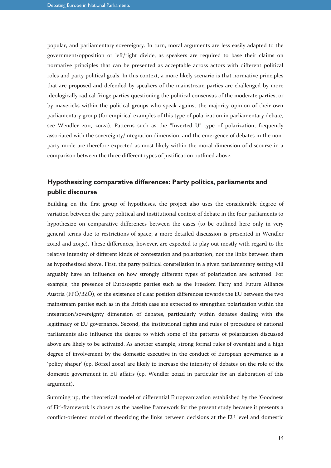popular, and parliamentary sovereignty. In turn, moral arguments are less easily adapted to the government/opposition or left/right divide, as speakers are required to base their claims on normative principles that can be presented as acceptable across actors with different political roles and party political goals. In this context, a more likely scenario is that normative principles that are proposed and defended by speakers of the mainstream parties are challenged by more ideologically radical fringe parties questioning the political consensus of the moderate parties, or by mavericks within the political groups who speak against the majority opinion of their own parliamentary group (for empirical examples of this type of polarization in parliamentary debate, see Wendler 2011, 2012a). Patterns such as the "Inverted U" type of polarization, frequently associated with the sovereignty/integration dimension, and the emergence of debates in the nonparty mode are therefore expected as most likely within the moral dimension of discourse in a comparison between the three different types of justification outlined above.

### **Hypothesizing comparative differences: Party politics, parliaments and public discourse**

Building on the first group of hypotheses, the project also uses the considerable degree of variation between the party political and institutional context of debate in the four parliaments to hypothesize on comparative differences between the cases (to be outlined here only in very general terms due to restrictions of space; a more detailed discussion is presented in Wendler 2012d and 2013c). These differences, however, are expected to play out mostly with regard to the relative intensity of different kinds of contestation and polarization, not the links between them as hypothesized above. First, the party political constellation in a given parliamentary setting will arguably have an influence on how strongly different types of polarization are activated. For example, the presence of Eurosceptic parties such as the Freedom Party and Future Alliance Austria (FPÖ/BZÖ), or the existence of clear position differences towards the EU between the two mainstream parties such as in the British case are expected to strengthen polarization within the integration/sovereignty dimension of debates, particularly within debates dealing with the legitimacy of EU governance. Second, the institutional rights and rules of procedure of national parliaments also influence the degree to which some of the patterns of polarization discussed above are likely to be activated. As another example, strong formal rules of oversight and a high degree of involvement by the domestic executive in the conduct of European governance as a 'policy shaper' (cp. Börzel 2002) are likely to increase the intensity of debates on the role of the domestic government in EU affairs (cp. Wendler 2012d in particular for an elaboration of this argument).

Summing up, the theoretical model of differential Europeanization established by the 'Goodness of Fit'-framework is chosen as the baseline framework for the present study because it presents a conflict-oriented model of theorizing the links between decisions at the EU level and domestic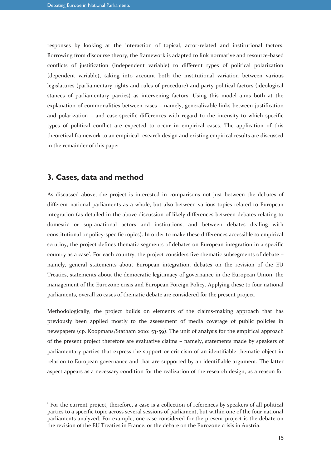responses by looking at the interaction of topical, actor-related and institutional factors. Borrowing from discourse theory, the framework is adapted to link normative and resource-based conflicts of justification (independent variable) to different types of political polarization (dependent variable), taking into account both the institutional variation between various legislatures (parliamentary rights and rules of procedure) and party political factors (ideological stances of parliamentary parties) as intervening factors. Using this model aims both at the explanation of commonalities between cases – namely, generalizable links between justification and polarization – and case-specific differences with regard to the intensity to which specific types of political conflict are expected to occur in empirical cases. The application of this theoretical framework to an empirical research design and existing empirical results are discussed in the remainder of this paper.

#### **3. Cases, data and method**

-

As discussed above, the project is interested in comparisons not just between the debates of different national parliaments as a whole, but also between various topics related to European integration (as detailed in the above discussion of likely differences between debates relating to domestic or supranational actors and institutions, and between debates dealing with constitutional or policy-specific topics). In order to make these differences accessible to empirical scrutiny, the project defines thematic segments of debates on European integration in a specific country as a case<sup>1</sup>. For each country, the project considers five thematic subsegments of debate namely, general statements about European integration, debates on the revision of the EU Treaties, statements about the democratic legitimacy of governance in the European Union, the management of the Eurozone crisis and European Foreign Policy. Applying these to four national parliaments, overall 20 cases of thematic debate are considered for the present project.

Methodologically, the project builds on elements of the claims-making approach that has previously been applied mostly to the assessment of media coverage of public policies in newspapers (cp. Koopmans/Statham 2010: 53-59). The unit of analysis for the empirical approach of the present project therefore are evaluative claims – namely, statements made by speakers of parliamentary parties that express the support or criticism of an identifiable thematic object in relation to European governance and that are supported by an identifiable argument. The latter aspect appears as a necessary condition for the realization of the research design, as a reason for

<sup>&</sup>lt;sup>1</sup> For the current project, therefore, a case is a collection of references by speakers of all political parties to a specific topic across several sessions of parliament, but within one of the four national parliaments analyzed. For example, one case considered for the present project is the debate on the revision of the EU Treaties in France, or the debate on the Eurozone crisis in Austria.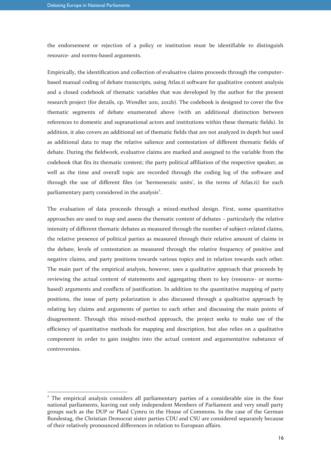-

the endorsement or rejection of a policy or institution must be identifiable to distinguish resource- and norms-based arguments.

Empirically, the identification and collection of evaluative claims proceeds through the computerbased manual coding of debate transcripts, using Atlas.ti software for qualitative content analysis and a closed codebook of thematic variables that was developed by the author for the present research project (for details, cp. Wendler 2011, 2012b). The codebook is designed to cover the five thematic segments of debate enumerated above (with an additional distinction between references to domestic and supranational actors and institutions within these thematic fields). In addition, it also covers an additional set of thematic fields that are not analyzed in depth but used as additional data to map the relative salience and contestation of different thematic fields of debate. During the fieldwork, evaluative claims are marked and assigned to the variable from the codebook that fits its thematic content; the party political affiliation of the respective speaker, as well as the time and overall topic are recorded through the coding log of the software and through the use of different files (or 'hermeneutic units', in the terms of Atlas.ti) for each parliamentary party considered in the analysis<sup>2</sup>.

The evaluation of data proceeds through a mixed-method design. First, some quantitative approaches are used to map and assess the thematic content of debates – particularly the relative intensity of different thematic debates as measured through the number of subject-related claims, the relative presence of political parties as measured through their relative amount of claims in the debate, levels of contestation as measured through the relative frequency of positive and negative claims, and party positions towards various topics and in relation towards each other. The main part of the empirical analysis, however, uses a qualitative approach that proceeds by reviewing the actual content of statements and aggregating them to key (resource- or normsbased) arguments and conflicts of justification. In addition to the quantitative mapping of party positions, the issue of party polarization is also discussed through a qualitative approach by relating key claims and arguments of parties to each other and discussing the main points of disagreement. Through this mixed-method approach, the project seeks to make use of the efficiency of quantitative methods for mapping and description, but also relies on a qualitative component in order to gain insights into the actual content and argumentative substance of controversies.

<sup>&</sup>lt;sup>2</sup> The empirical analysis considers all parliamentary parties of a considerable size in the four national parliaments, leaving out only independent Members of Parliament and very small party groups such as the DUP or Plaid Cymru in the House of Commons. In the case of the German Bundestag, the Christian Democrat sister parties CDU and CSU are considered separately because of their relatively pronounced differences in relation to European affairs.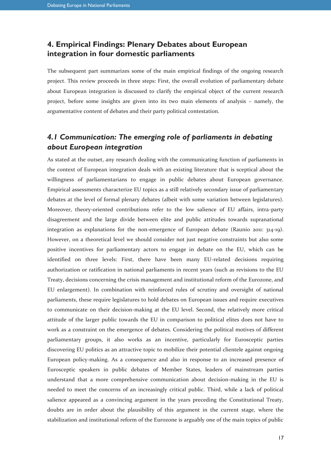### **4. Empirical Findings: Plenary Debates about European integration in four domestic parliaments**

The subsequent part summarizes some of the main empirical findings of the ongoing research project. This review proceeds in three steps: First, the overall evolution of parliamentary debate about European integration is discussed to clarify the empirical object of the current research project, before some insights are given into its two main elements of analysis – namely, the argumentative content of debates and their party political contestation.

# *4.1 Communication: The emerging role of parliaments in debating about European integration*

As stated at the outset, any research dealing with the communicating function of parliaments in the context of European integration deals with an existing literature that is sceptical about the willingness of parliamentarians to engage in public debates about European governance. Empirical assessments characterize EU topics as a still relatively secondary issue of parliamentary debates at the level of formal plenary debates (albeit with some variation between legislatures). Moreover, theory-oriented contributions refer to the low salience of EU affairs, intra-party disagreement and the large divide between elite and public attitudes towards supranational integration as explanations for the non-emergence of European debate (Raunio 2011: 314-19). However, on a theoretical level we should consider not just negative constraints but also some positive incentives for parliamentary actors to engage in debate on the EU, which can be identified on three levels: First, there have been many EU-related decisions requiring authorization or ratification in national parliaments in recent years (such as revisions to the EU Treaty, decisions concerning the crisis management and institutional reform of the Eurozone, and EU enlargement). In combination with reinforced rules of scrutiny and oversight of national parliaments, these require legislatures to hold debates on European issues and require executives to communicate on their decision-making at the EU level. Second, the relatively more critical attitude of the larger public towards the EU in comparison to political elites does not have to work as a constraint on the emergence of debates. Considering the political motives of different parliamentary groups, it also works as an incentive, particularly for Eurosceptic parties discovering EU politics as an attractive topic to mobilize their potential clientele against ongoing European policy-making. As a consequence and also in response to an increased presence of Eurosceptic speakers in public debates of Member States, leaders of mainstream parties understand that a more comprehensive communication about decision-making in the EU is needed to meet the concerns of an increasingly critical public. Third, while a lack of political salience appeared as a convincing argument in the years preceding the Constitutional Treaty, doubts are in order about the plausibility of this argument in the current stage, where the stabilization and institutional reform of the Eurozone is arguably one of the main topics of public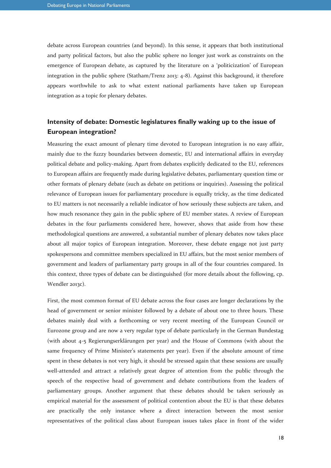debate across European countries (and beyond). In this sense, it appears that both institutional and party political factors, but also the public sphere no longer just work as constraints on the emergence of European debate, as captured by the literature on a 'politicization' of European integration in the public sphere (Statham/Trenz 2013: 4-8). Against this background, it therefore appears worthwhile to ask to what extent national parliaments have taken up European integration as a topic for plenary debates.

### **Intensity of debate: Domestic legislatures finally waking up to the issue of European integration?**

Measuring the exact amount of plenary time devoted to European integration is no easy affair, mainly due to the fuzzy boundaries between domestic, EU and international affairs in everyday political debate and policy-making. Apart from debates explicitly dedicated to the EU, references to European affairs are frequently made during legislative debates, parliamentary question time or other formats of plenary debate (such as debate on petitions or inquiries). Assessing the political relevance of European issues for parliamentary procedure is equally tricky, as the time dedicated to EU matters is not necessarily a reliable indicator of how seriously these subjects are taken, and how much resonance they gain in the public sphere of EU member states. A review of European debates in the four parliaments considered here, however, shows that aside from how these methodological questions are answered, a substantial number of plenary debates now takes place about all major topics of European integration. Moreover, these debate engage not just party spokespersons and committee members specialized in EU affairs, but the most senior members of government and leaders of parliamentary party groups in all of the four countries compared. In this context, three types of debate can be distinguished (for more details about the following, cp. Wendler 2013c).

First, the most common format of EU debate across the four cases are longer declarations by the head of government or senior minister followed by a debate of about one to three hours. These debates mainly deal with a forthcoming or very recent meeting of the European Council or Eurozone group and are now a very regular type of debate particularly in the German Bundestag (with about 4-5 Regierungserklärungen per year) and the House of Commons (with about the same frequency of Prime Minister's statements per year). Even if the absolute amount of time spent in these debates is not very high, it should be stressed again that these sessions are usually well-attended and attract a relatively great degree of attention from the public through the speech of the respective head of government and debate contributions from the leaders of parliamentary groups. Another argument that these debates should be taken seriously as empirical material for the assessment of political contention about the EU is that these debates are practically the only instance where a direct interaction between the most senior representatives of the political class about European issues takes place in front of the wider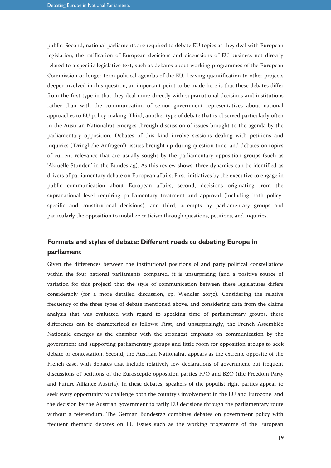public. Second, national parliaments are required to debate EU topics as they deal with European legislation, the ratification of European decisions and discussions of EU business not directly related to a specific legislative text, such as debates about working programmes of the European Commission or longer-term political agendas of the EU. Leaving quantification to other projects deeper involved in this question, an important point to be made here is that these debates differ from the first type in that they deal more directly with supranational decisions and institutions rather than with the communication of senior government representatives about national approaches to EU policy-making. Third, another type of debate that is observed particularly often in the Austrian Nationalrat emerges through discussion of issues brought to the agenda by the parliamentary opposition. Debates of this kind involve sessions dealing with petitions and inquiries ('Dringliche Anfragen'), issues brought up during question time, and debates on topics of current relevance that are usually sought by the parliamentary opposition groups (such as 'Aktuelle Stunden' in the Bundestag). As this review shows, three dynamics can be identified as drivers of parliamentary debate on European affairs: First, initiatives by the executive to engage in public communication about European affairs, second, decisions originating from the supranational level requiring parliamentary treatment and approval (including both policyspecific and constitutional decisions), and third, attempts by parliamentary groups and particularly the opposition to mobilize criticism through questions, petitions, and inquiries.

### **Formats and styles of debate: Different roads to debating Europe in parliament**

Given the differences between the institutional positions of and party political constellations within the four national parliaments compared, it is unsurprising (and a positive source of variation for this project) that the style of communication between these legislatures differs considerably (for a more detailed discussion, cp. Wendler 2013c). Considering the relative frequency of the three types of debate mentioned above, and considering data from the claims analysis that was evaluated with regard to speaking time of parliamentary groups, these differences can be characterized as follows: First, and unsurprisingly, the French Assemblée Nationale emerges as the chamber with the strongest emphasis on communication by the government and supporting parliamentary groups and little room for opposition groups to seek debate or contestation. Second, the Austrian Nationalrat appears as the extreme opposite of the French case, with debates that include relatively few declarations of government but frequent discussions of petitions of the Eurosceptic opposition parties FPÖ and BZÖ (the Freedom Party and Future Alliance Austria). In these debates, speakers of the populist right parties appear to seek every opportunity to challenge both the country's involvement in the EU and Eurozone, and the decision by the Austrian government to ratify EU decisions through the parliamentary route without a referendum. The German Bundestag combines debates on government policy with frequent thematic debates on EU issues such as the working programme of the European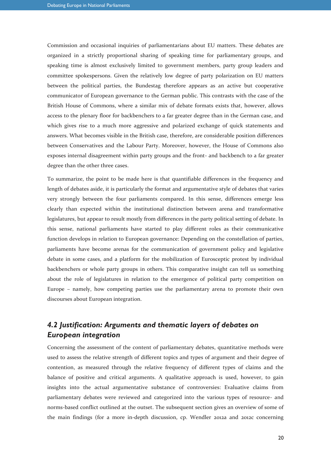Commission and occasional inquiries of parliamentarians about EU matters. These debates are organized in a strictly proportional sharing of speaking time for parliamentary groups, and speaking time is almost exclusively limited to government members, party group leaders and committee spokespersons. Given the relatively low degree of party polarization on EU matters between the political parties, the Bundestag therefore appears as an active but cooperative communicator of European governance to the German public. This contrasts with the case of the British House of Commons, where a similar mix of debate formats exists that, however, allows access to the plenary floor for backbenchers to a far greater degree than in the German case, and which gives rise to a much more aggressive and polarized exchange of quick statements and answers. What becomes visible in the British case, therefore, are considerable position differences between Conservatives and the Labour Party. Moreover, however, the House of Commons also exposes internal disagreement within party groups and the front- and backbench to a far greater degree than the other three cases.

To summarize, the point to be made here is that quantifiable differences in the frequency and length of debates aside, it is particularly the format and argumentative style of debates that varies very strongly between the four parliaments compared. In this sense, differences emerge less clearly than expected within the institutional distinction between arena and transformative legislatures, but appear to result mostly from differences in the party political setting of debate. In this sense, national parliaments have started to play different roles as their communicative function develops in relation to European governance: Depending on the constellation of parties, parliaments have become arenas for the communication of government policy and legislative debate in some cases, and a platform for the mobilization of Eurosceptic protest by individual backbenchers or whole party groups in others. This comparative insight can tell us something about the role of legislatures in relation to the emergence of political party competition on Europe – namely, how competing parties use the parliamentary arena to promote their own discourses about European integration.

# *4.2 Justification: Arguments and thematic layers of debates on European integration*

Concerning the assessment of the content of parliamentary debates, quantitative methods were used to assess the relative strength of different topics and types of argument and their degree of contention, as measured through the relative frequency of different types of claims and the balance of positive and critical arguments. A qualitative approach is used, however, to gain insights into the actual argumentative substance of controversies: Evaluative claims from parliamentary debates were reviewed and categorized into the various types of resource- and norms-based conflict outlined at the outset. The subsequent section gives an overview of some of the main findings (for a more in-depth discussion, cp. Wendler 2012a and 2012c concerning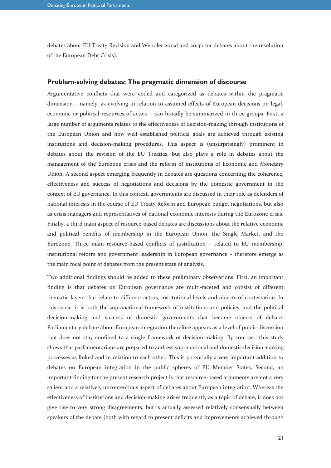debates about EU Treaty Revision and Wendler 2012d and 2013b for debates about the resolution of the European Debt Crisis).

#### **Problem-solving debates: The pragmatic dimension of discourse**

Argumentative conflicts that were coded and categorized as debates within the pragmatic dimension – namely, as evolving in relation to assumed effects of European decisions on legal, economic or political resources of actors – can broadly be summarized in three groups. First, a large number of arguments relates to the effectiveness of decision-making through institutions of the European Union and how well established political goals are achieved through existing institutions and decision-making procedures. This aspect is (unsurprisingly) prominent in debates about the revision of the EU Treaties, but also plays a role in debates about the management of the Eurozone crisis and the reform of institutions of Economic and Monetary Union. A second aspect emerging frequently in debates are questions concerning the coherence, effectiveness and success of negotiations and decisions by the domestic government in the context of EU governance. In this context, governments are discussed in their role as defenders of national interests in the course of EU Treaty Reform and European budget negotiations, but also as crisis managers and representatives of national economic interests during the Eurozone crisis. Finally, a third main aspect of resource-based debates are discussions about the relative economic and political benefits of membership in the European Union, the Single Market, and the Eurozone. Three main resource-based conflicts of justification – related to EU membership, institutional reform and government leadership in European governance – therefore emerge as the main focal point of debates from the present state of analysis.

Two additional findings should be added to these preliminary observations. First, an important finding is that debates on European governance are multi-faceted and consist of different thematic layers that relate to different actors, institutional levels and objects of contestation. In this sense, it is both the supranational framework of institutions and policies, and the political decision-making and success of domestic governments that become objects of debate. Parliamentary debate about European integration therefore appears as a level of public discussion that does not stay confined to a single framework of decision-making. By contrast, this study shows that parliamentarians are prepared to address supranational and domestic decision-making processes as linked and in relation to each other. This is potentially a very important addition to debates on European integration in the public spheres of EU Member States. Second, an important finding for the present research project is that resource-based arguments are not a very salient and a relatively uncontentious aspect of debates about European integration. Whereas the effectiveness of institutions and decision-making arises frequently as a topic of debate, it does not give rise to very strong disagreements, but is actually assessed relatively consensually between speakers of the debate (both with regard to present deficits and improvements achieved through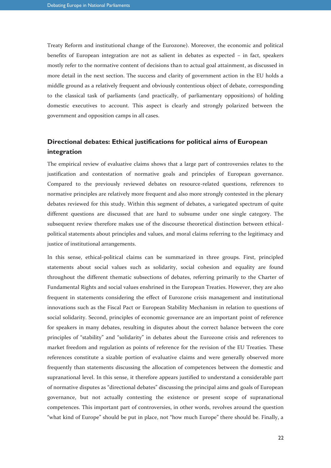Treaty Reform and institutional change of the Eurozone). Moreover, the economic and political benefits of European integration are not as salient in debates as expected – in fact, speakers mostly refer to the normative content of decisions than to actual goal attainment, as discussed in more detail in the next section. The success and clarity of government action in the EU holds a middle ground as a relatively frequent and obviously contentious object of debate, corresponding to the classical task of parliaments (and practically, of parliamentary oppositions) of holding domestic executives to account. This aspect is clearly and strongly polarized between the government and opposition camps in all cases.

### **Directional debates: Ethical justifications for political aims of European integration**

The empirical review of evaluative claims shows that a large part of controversies relates to the justification and contestation of normative goals and principles of European governance. Compared to the previously reviewed debates on resource-related questions, references to normative principles are relatively more frequent and also more strongly contested in the plenary debates reviewed for this study. Within this segment of debates, a variegated spectrum of quite different questions are discussed that are hard to subsume under one single category. The subsequent review therefore makes use of the discourse theoretical distinction between ethicalpolitical statements about principles and values, and moral claims referring to the legitimacy and justice of institutional arrangements.

In this sense, ethical-political claims can be summarized in three groups. First, principled statements about social values such as solidarity, social cohesion and equality are found throughout the different thematic subsections of debates, referring primarily to the Charter of Fundamental Rights and social values enshrined in the European Treaties. However, they are also frequent in statements considering the effect of Eurozone crisis management and institutional innovations such as the Fiscal Pact or European Stability Mechanism in relation to questions of social solidarity. Second, principles of economic governance are an important point of reference for speakers in many debates, resulting in disputes about the correct balance between the core principles of "stability" and "solidarity" in debates about the Eurozone crisis and references to market freedom and regulation as points of reference for the revision of the EU Treaties. These references constitute a sizable portion of evaluative claims and were generally observed more frequently than statements discussing the allocation of competences between the domestic and supranational level. In this sense, it therefore appears justified to understand a considerable part of normative disputes as "directional debates" discussing the principal aims and goals of European governance, but not actually contesting the existence or present scope of supranational competences. This important part of controversies, in other words, revolves around the question "what kind of Europe" should be put in place, not "how much Europe" there should be. Finally, a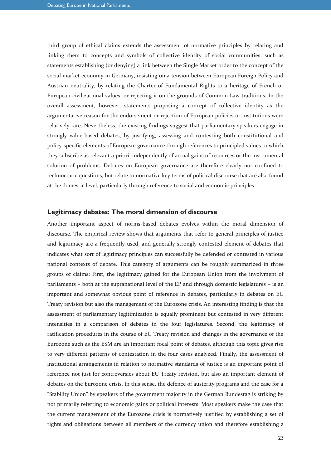third group of ethical claims extends the assessment of normative principles by relating and linking them to concepts and symbols of collective identity of social communities, such as statements establishing (or denying) a link between the Single Market order to the concept of the social market economy in Germany, insisting on a tension between European Foreign Policy and Austrian neutrality, by relating the Charter of Fundamental Rights to a heritage of French or European civilizational values, or rejecting it on the grounds of Common Law traditions. In the overall assessment, however, statements proposing a concept of collective identity as the argumentative reason for the endorsement or rejection of European policies or institutions were relatively rare. Nevertheless, the existing findings suggest that parliamentary speakers engage in strongly value-based debates, by justifying, assessing and contesting both constitutional and policy-specific elements of European governance through references to principled values to which they subscribe as relevant a priori, independently of actual gains of resources or the instrumental solution of problems. Debates on European governance are therefore clearly not confined to technocratic questions, but relate to normative key terms of political discourse that are also found at the domestic level, particularly through reference to social and economic principles.

#### **Legitimacy debates: The moral dimension of discourse**

Another important aspect of norms-based debates evolves within the moral dimension of discourse. The empirical review shows that arguments that refer to general principles of justice and legitimacy are a frequently used, and generally strongly contested element of debates that indicates what sort of legitimacy principles can successfully be defended or contested in various national contexts of debate. This category of arguments can be roughly summarized in three groups of claims: First, the legitimacy gained for the European Union from the involvment of parliaments – both at the supranational level of the EP and through domestic legislatures – is an important and somewhat obvious point of reference in debates, particularly in debates on EU Treaty revision but also the management of the Eurozone crisis. An interesting finding is that the assessment of parliamentary legitimization is equally prominent but contested in very different intensities in a comparison of debates in the four legislatures. Second, the legitimacy of ratification procedures in the course of EU Treaty revision and changes in the governance of the Eurozone such as the ESM are an important focal point of debates, although this topic gives rise to very different patterns of contestation in the four cases analyzed. Finally, the assessment of institutional arrangements in relation to normative standards of justice is an important point of reference not just for controversies about EU Treaty revision, but also an important element of debates on the Eurozone crisis. In this sense, the defence of austerity programs and the case for a "Stability Union" by speakers of the government majority in the German Bundestag is striking by not primarily referring to economic gains or political interests. Most speakers make the case that the current management of the Eurozone crisis is normatively justified by establishing a set of rights and obligations between all members of the currency union and therefore establishing a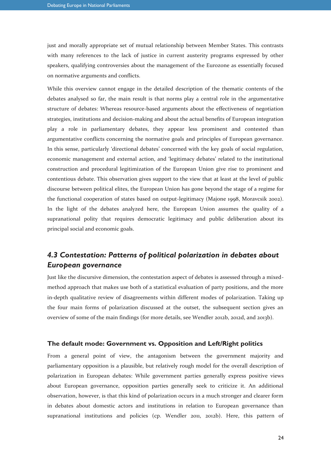just and morally appropriate set of mutual relationship between Member States. This contrasts with many references to the lack of justice in current austerity programs expressed by other speakers, qualifying controversies about the management of the Eurozone as essentially focused on normative arguments and conflicts.

While this overview cannot engage in the detailed description of the thematic contents of the debates analysed so far, the main result is that norms play a central role in the argumentative structure of debates: Whereas resource-based arguments about the effectiveness of negotiation strategies, institutions and decision-making and about the actual benefits of European integration play a role in parliamentary debates, they appear less prominent and contested than argumentative conflicts concerning the normative goals and principles of European governance. In this sense, particularly 'directional debates' concerned with the key goals of social regulation, economic management and external action, and 'legitimacy debates' related to the institutional construction and procedural legitimization of the European Union give rise to prominent and contentious debate. This observation gives support to the view that at least at the level of public discourse between political elites, the European Union has gone beyond the stage of a regime for the functional cooperation of states based on output-legitimacy (Majone 1998, Moravcsik 2002). In the light of the debates analyzed here, the European Union assumes the quality of a supranational polity that requires democratic legitimacy and public deliberation about its principal social and economic goals.

# *4.3 Contestation: Patterns of political polarization in debates about European governance*

Just like the discursive dimension, the contestation aspect of debates is assessed through a mixedmethod approach that makes use both of a statistical evaluation of party positions, and the more in-depth qualitative review of disagreements within different modes of polarization. Taking up the four main forms of polarization discussed at the outset, the subsequent section gives an overview of some of the main findings (for more details, see Wendler 2012b, 2012d, and 2013b).

#### **The default mode: Government vs. Opposition and Left/Right politics**

From a general point of view, the antagonism between the government majority and parliamentary opposition is a plausible, but relatively rough model for the overall description of polarization in European debates: While government parties generally express positive views about European governance, opposition parties generally seek to criticize it. An additional observation, however, is that this kind of polarization occurs in a much stronger and clearer form in debates about domestic actors and institutions in relation to European governance than supranational institutions and policies (cp. Wendler 2011, 2012b). Here, this pattern of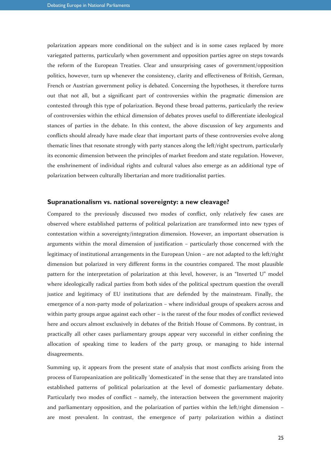polarization appears more conditional on the subject and is in some cases replaced by more variegated patterns, particularly when government and opposition parties agree on steps towards the reform of the European Treaties. Clear and unsurprising cases of government/opposition politics, however, turn up whenever the consistency, clarity and effectiveness of British, German, French or Austrian government policy is debated. Concerning the hypotheses, it therefore turns out that not all, but a significant part of controversies within the pragmatic dimension are contested through this type of polarization. Beyond these broad patterns, particularly the review of controversies within the ethical dimension of debates proves useful to differentiate ideological stances of parties in the debate. In this context, the above discussion of key arguments and conflicts should already have made clear that important parts of these controversies evolve along thematic lines that resonate strongly with party stances along the left/right spectrum, particularly its economic dimension between the principles of market freedom and state regulation. However, the enshrinement of individual rights and cultural values also emerge as an additional type of polarization between culturally libertarian and more traditionalist parties.

#### **Supranationalism vs. national sovereignty: a new cleavage?**

Compared to the previously discussed two modes of conflict, only relatively few cases are observed where established patterns of political polarization are transformed into new types of contestation within a sovereignty/integration dimension. However, an important observation is arguments within the moral dimension of justification – particularly those concerned with the legitimacy of institutional arrangements in the European Union – are not adapted to the left/right dimension but polarized in very different forms in the countries compared. The most plausible pattern for the interpretation of polarization at this level, however, is an "Inverted U" model where ideologically radical parties from both sides of the political spectrum question the overall justice and legitimacy of EU institutions that are defended by the mainstream. Finally, the emergence of a non-party mode of polarization – where individual groups of speakers across and within party groups argue against each other – is the rarest of the four modes of conflict reviewed here and occurs almost exclusively in debates of the British House of Commons. By contrast, in practically all other cases parliamentary groups appear very successful in either confining the allocation of speaking time to leaders of the party group, or managing to hide internal disagreements.

Summing up, it appears from the present state of analysis that most conflicts arising from the process of Europeanization are politically 'domesticated' in the sense that they are translated into established patterns of political polarization at the level of domestic parliamentary debate. Particularly two modes of conflict – namely, the interaction between the government majority and parliamentary opposition, and the polarization of parties within the left/right dimension – are most prevalent. In contrast, the emergence of party polarization within a distinct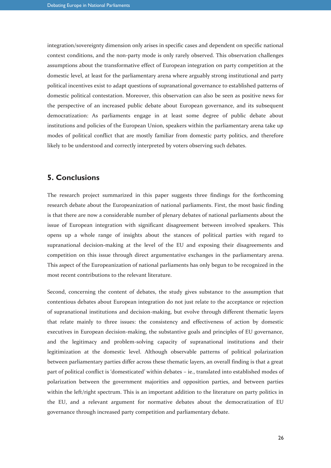integration/sovereignty dimension only arises in specific cases and dependent on specific national context conditions, and the non-party mode is only rarely observed. This observation challenges assumptions about the transformative effect of European integration on party competition at the domestic level, at least for the parliamentary arena where arguably strong institutional and party political incentives exist to adapt questions of supranational governance to established patterns of domestic political contestation. Moreover, this observation can also be seen as positive news for the perspective of an increased public debate about European governance, and its subsequent democratization: As parliaments engage in at least some degree of public debate about institutions and policies of the European Union, speakers within the parliamentary arena take up modes of political conflict that are mostly familiar from domestic party politics, and therefore likely to be understood and correctly interpreted by voters observing such debates.

#### **5. Conclusions**

The research project summarized in this paper suggests three findings for the forthcoming research debate about the Europeanization of national parliaments. First, the most basic finding is that there are now a considerable number of plenary debates of national parliaments about the issue of European integration with significant disagreement between involved speakers. This opens up a whole range of insights about the stances of political parties with regard to supranational decision-making at the level of the EU and exposing their disagreements and competition on this issue through direct argumentative exchanges in the parliamentary arena. This aspect of the Europeanization of national parliaments has only begun to be recognized in the most recent contributions to the relevant literature.

Second, concerning the content of debates, the study gives substance to the assumption that contentious debates about European integration do not just relate to the acceptance or rejection of supranational institutions and decision-making, but evolve through different thematic layers that relate mainly to three issues: the consistency and effectiveness of action by domestic executives in European decision-making, the substantive goals and principles of EU governance, and the legitimacy and problem-solving capacity of supranational institutions and their legitimization at the domestic level. Although observable patterns of political polarization between parliamentary parties differ across these thematic layers, an overall finding is that a great part of political conflict is 'domesticated' within debates – ie., translated into established modes of polarization between the government majorities and opposition parties, and between parties within the left/right spectrum. This is an important addition to the literature on party politics in the EU, and a relevant argument for normative debates about the democratization of EU governance through increased party competition and parliamentary debate.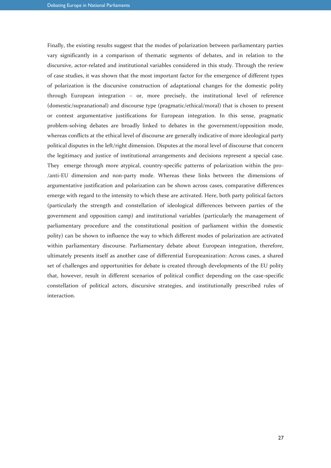Finally, the existing results suggest that the modes of polarization between parliamentary parties vary significantly in a comparison of thematic segments of debates, and in relation to the discursive, actor-related and institutional variables considered in this study. Through the review of case studies, it was shown that the most important factor for the emergence of different types of polarization is the discursive construction of adaptational changes for the domestic polity through European integration – or, more precisely, the institutional level of reference (domestic/supranational) and discourse type (pragmatic/ethical/moral) that is chosen to present or contest argumentative justifications for European integration. In this sense, pragmatic problem-solving debates are broadly linked to debates in the government/opposition mode, whereas conflicts at the ethical level of discourse are generally indicative of more ideological party political disputes in the left/right dimension. Disputes at the moral level of discourse that concern the legitimacy and justice of institutional arrangements and decisions represent a special case. They emerge through more atypical, country-specific patterns of polarization within the pro- /anti-EU dimension and non-party mode. Whereas these links between the dimensions of argumentative justification and polarization can be shown across cases, comparative differences emerge with regard to the intensity to which these are activated. Here, both party political factors (particularly the strength and constellation of ideological differences between parties of the government and opposition camp) and institutional variables (particularly the management of parliamentary procedure and the constitutional position of parliament within the domestic polity) can be shown to influence the way to which different modes of polarization are activated within parliamentary discourse. Parliamentary debate about European integration, therefore, ultimately presents itself as another case of differential Europeanization: Across cases, a shared set of challenges and opportunities for debate is created through developments of the EU polity that, however, result in different scenarios of political conflict depending on the case-specific constellation of political actors, discursive strategies, and institutionally prescribed rules of interaction.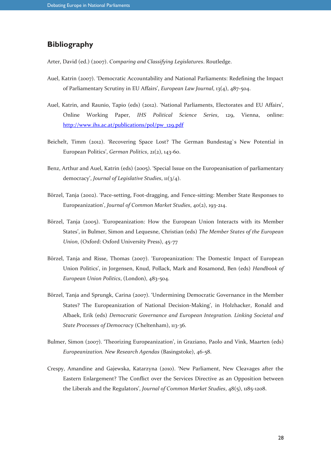#### **Bibliography**

Arter, David (ed.) (2007). *Comparing and Classifying Legislatures*. Routledge.

- Auel, Katrin (2007). 'Democratic Accountability and National Parliaments: Redefining the Impact of Parliamentary Scrutiny in EU Affairs', *European Law Journal*, 13(4), 487-504.
- Auel, Katrin, and Raunio, Tapio (eds) (2012). 'National Parliaments, Electorates and EU Affairs', Online Working Paper, *IHS Political Science Series*, 129, Vienna, online: [http://www.ihs.ac.at/publications/pol/pw\\_129.pdf](http://www.ihs.ac.at/publications/pol/pw_129.pdf)
- Beichelt, Timm (2012). 'Recovering Space Lost? The German Bundestag`s New Potential in European Politics', *German Politics*, 21(2), 143-60.
- Benz, Arthur and Auel, Katrin (eds) (2005). 'Special Issue on the Europeanisation of parliamentary democracy', *Journal of Legislative Studies*, 11(3/4).
- Börzel, Tanja (2002). 'Pace-setting, Foot-dragging, and Fence-sitting: Member State Responses to Europeanization', *Journal of Common Market Studies*, 40(2), 193-214.
- Börzel, Tanja (2005). 'Europeanization: How the European Union Interacts with its Member States', in Bulmer, Simon and Lequesne, Christian (eds) *The Member States of the European Union*, (Oxford: Oxford University Press), 45-77
- Börzel, Tanja and Risse, Thomas (2007). 'Europeanization: The Domestic Impact of European Union Politics', in Jorgensen, Knud, Pollack, Mark and Rosamond, Ben (eds) *Handbook of European Union Politics*, (London), 483-504.
- Börzel, Tanja and Sprungk, Carina (2007). 'Undermining Democratic Governance in the Member States? The Europeanization of National Decision-Making', in Holzhacker, Ronald and Albaek, Erik (eds) *Democratic Governance and European Integration. Linking Societal and State Processes of Democracy* (Cheltenham), 113-36.
- Bulmer, Simon (2007). 'Theorizing Europeanization', in Graziano, Paolo and Vink, Maarten (eds) *Europeanization. New Research Agendas* (Basingstoke), 46-58.
- Crespy, Amandine and Gajewska, Katarzyna (2010). 'New Parliament, New Cleavages after the Eastern Enlargement? The Conflict over the Services Directive as an Opposition between the Liberals and the Regulators', *Journal of Common Market Studies*, 48(5), 1185-1208.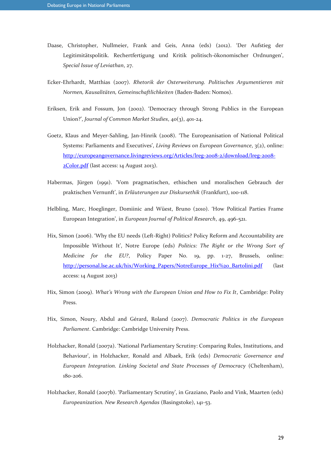- Daase, Christopher, Nullmeier, Frank and Geis, Anna (eds) (2012). 'Der Aufstieg der Legitimitätspolitik. Rechertfertigung und Kritik politisch-ökonomischer Ordnungen', *Special Issue of Leviathan*, 27.
- Ecker-Ehrhardt, Matthias (2007). *Rhetorik der Osterweiterung. Politisches Argumentieren mit Normen, Kausalitäten, Gemeinschaftlichkeiten* (Baden-Baden: Nomos).
- Eriksen, Erik and Fossum, Jon (2002). 'Democracy through Strong Publics in the European Union?', *Journal of Common Market Studies*, 40(3), 401-24.
- Goetz, Klaus and Meyer-Sahling, Jan-Hinrik (2008). 'The Europeanisation of National Political Systems: Parliaments and Executives', *Living Reviews on European Governance*, 3(2), online: [http://europeangovernance.livingreviews.org/Articles/lreg-2008-2/download/lreg-2008-](http://europeangovernance.livingreviews.org/Articles/lreg-2008-2/download/lreg-2008-2Color.pdf) [2Color.pdf](http://europeangovernance.livingreviews.org/Articles/lreg-2008-2/download/lreg-2008-2Color.pdf) (last access: 14 August 2013).
- Habermas, Jürgen (1991). 'Vom pragmatischen, ethischen und moralischen Gebrauch der praktischen Vernunft', in *Erläuterungen zur Diskursethik* (Frankfurt), 100-118.
- Helbling, Marc, Hoeglinger, Domiinic and Wüest, Bruno (2010). 'How Political Parties Frame European Integration', in *European Journal of Political Research*, 49, 496-521.
- Hix, Simon (2006). 'Why the EU needs (Left-Right) Politics? Policy Reform and Accountability are Impossible Without It', Notre Europe (eds) *Politics: The Right or the Wrong Sort of Medicine for the EU?*, Policy Paper No. 19, pp. 1-27, Brussels, online: [http://personal.lse.ac.uk/hix/Working\\_Papers/NotreEurope\\_Hix%20\\_Bartolini.pdf](http://personal.lse.ac.uk/hix/Working_Papers/NotreEurope_Hix%20_Bartolini.pdf) (last access: 14 August 2013)
- Hix, Simon (2009). *What's Wrong with the European Union and How to Fix It*, Cambridge: Polity Press.
- Hix, Simon, Noury, Abdul and Gérard, Roland (2007). *Democratic Politics in the European Parliament*. Cambridge: Cambridge University Press.
- Holzhacker, Ronald (2007a). 'National Parliamentary Scrutiny: Comparing Rules, Institutions, and Behaviour', in Holzhacker, Ronald and Albaek, Erik (eds) *Democratic Governance and European Integration. Linking Societal and State Processes of Democracy* (Cheltenham), 180-206.
- Holzhacker, Ronald (2007b). 'Parliamentary Scrutiny', in Graziano, Paolo and Vink, Maarten (eds) *Europeanization. New Research Agendas* (Basingstoke), 141-53.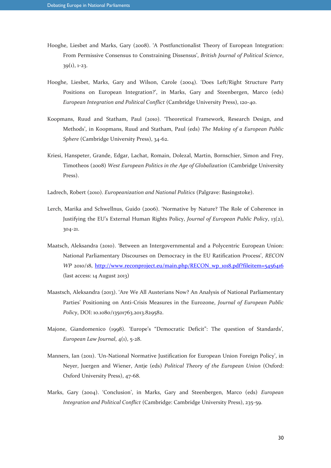- Hooghe, Liesbet and Marks, Gary (2008). 'A Postfunctionalist Theory of European Integration: From Permissive Consensus to Constraining Dissensus', *British Journal of Political Science*, 39(1), 1-23.
- Hooghe, Liesbet, Marks, Gary and Wilson, Carole (2004). 'Does Left/Right Structure Party Positions on European Integration?', in Marks, Gary and Steenbergen, Marco (eds) *European Integration and Political Conflict* (Cambridge University Press), 120-40.
- Koopmans, Ruud and Statham, Paul (2010). 'Theoretical Framework, Research Design, and Methods', in Koopmans, Ruud and Statham, Paul (eds) *The Making of a European Public Sphere* (Cambridge University Press), 34-62.
- Kriesi, Hanspeter, Grande, Edgar, Lachat, Romain, Dolezal, Martin, Bornschier, Simon and Frey, Timotheos (2008) *West European Politics in the Age of Globalization* (Cambridge University Press).
- Ladrech, Robert (2010). *Europeanization and National Politics* (Palgrave: Basingstoke).
- Lerch, Marika and Schwellnus, Guido (2006). 'Normative by Nature? The Role of Coherence in Justifying the EU's External Human Rights Policy, *Journal of European Public Policy*, 13(2), 304-21.
- Maatsch, Aleksandra (2010). 'Between an Intergovernmental and a Polycentric European Union: National Parliamentary Discourses on Democracy in the EU Ratification Process', *RECON WP* 2010/18, [http://www.reconproject.eu/main.php/RECON\\_wp\\_1018.pdf?fileitem=5456416](http://www.reconproject.eu/main.php/RECON_wp_1018.pdf?fileitem=5456416) (last access: 14 August 2013)
- Maastsch, Aleksandra (2013). 'Are We All Austerians Now? An Analysis of National Parliamentary Parties' Positioning on Anti-Crisis Measures in the Eurozone, *Journal of European Public Policy*, DOI: 10.1080/13501763.2013.829582.
- Majone, Giandomenico (1998). 'Europe's "Democratic Deficit": The question of Standards', *European Law Journal*, 4(1), 5-28.
- Manners, Ian (2011). 'Un-National Normative Justification for European Union Foreign Policy', in Neyer, Juergen and Wiener, Antje (eds) *Political Theory of the European Union* (Oxford: Oxford University Press), 47-68.
- Marks, Gary (2004). 'Conclusion', in Marks, Gary and Steenbergen, Marco (eds) *European Integration and Political Conflict* (Cambridge: Cambridge University Press), 235-59.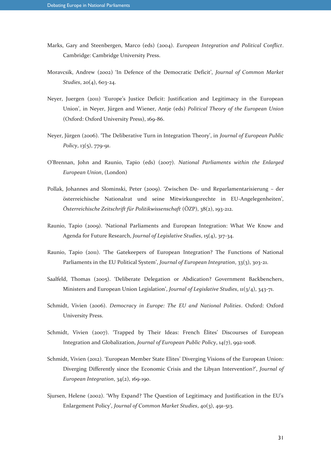- Marks, Gary and Steenbergen, Marco (eds) (2004). *European Integration and Political Conflict*. Cambridge: Cambridge University Press.
- Moravcsik, Andrew (2002) 'In Defence of the Democratic Deficit', *Journal of Common Market Studies*, 20(4), 603-24.
- Neyer, Juergen (2011) 'Europe's Justice Deficit: Justification and Legitimacy in the European Union', in Neyer, Jürgen and Wiener, Antje (eds) *Political Theory of the European Union* (Oxford: Oxford University Press), 169-86.
- Neyer, Jürgen (2006). 'The Deliberative Turn in Integration Theory', in *Journal of European Public Policy*, 13(5), 779-91.
- O'Brennan, John and Raunio, Tapio (eds) (2007). *National Parliaments within the Enlarged European Union*, (London)
- Pollak, Johannes and Slominski, Peter (2009). 'Zwischen De- und Reparlamentarisierung der österreichische Nationalrat und seine Mitwirkungsrechte in EU-Angelegenheiten', *Österreichische Zeitschrift für Politikwissenschaft* (ÖZP), 38(2), 193-212.
- Raunio, Tapio (2009). 'National Parliaments and European Integration: What We Know and Agenda for Future Research, *Journal of Legislative Studies*, 15(4), 317-34.
- Raunio, Tapio (2011). 'The Gatekeepers of European Integration? The Functions of National Parliaments in the EU Political System', *Journal of European Integration*, 33(3), 303-21.
- Saalfeld, Thomas (2005). 'Deliberate Delegation or Abdication? Government Backbenchers, Ministers and European Union Legislation', *Journal of Legislative Studies*, 11(3/4), 343-71.
- Schmidt, Vivien (2006). *Democracy in Europe: The EU and National Polities*. Oxford: Oxford University Press.
- Schmidt, Vivien (2007). 'Trapped by Their Ideas: French Élites' Discourses of European Integration and Globalization, *Journal of European Public Policy*, 14(7), 992-1008.
- Schmidt, Vivien (2012). 'European Member State Elites' Diverging Visions of the European Union: Diverging Differently since the Economic Crisis and the Libyan Intervention?', *Journal of European Integration*, 34(2), 169-190.
- Sjursen, Helene (2002). 'Why Expand? The Question of Legitimacy and Justification in the EU's Enlargement Policy', *Journal of Common Market Studies*, 40(3), 491-513.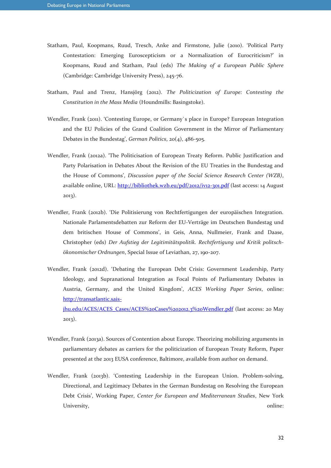- Statham, Paul, Koopmans, Ruud, Tresch, Anke and Firmstone, Julie (2010). 'Political Party Contestation: Emerging Euroscepticism or a Normalization of Eurocriticism?' in Koopmans, Ruud and Statham, Paul (eds) *The Making of a European Public Sphere* (Cambridge: Cambridge University Press), 245-76.
- Statham, Paul and Trenz, Hansjörg (2012). *The Politicization of Europe: Contesting the Constitution in the Mass Media* (Houndmills: Basingstoke).
- Wendler, Frank (2011). 'Contesting Europe, or Germany`s place in Europe? European Integration and the EU Policies of the Grand Coalition Government in the Mirror of Parliamentary Debates in the Bundestag', *German Politics*, 20(4), 486-505.
- Wendler, Frank (2012a). 'The Politicisation of European Treaty Reform. Public Justification and Party Polarisation in Debates About the Revision of the EU Treaties in the Bundestag and the House of Commons', *Discussion paper of the Social Science Research Center (WZB)*, available online, URL:<http://bibliothek.wzb.eu/pdf/2012/iv12-301.pdf> (last access: 14 August 2013).
- Wendler, Frank (2012b). 'Die Politisierung von Rechtfertigungen der europäischen Integration. Nationale Parlamentsdebatten zur Reform der EU-Verträge im Deutschen Bundestag und dem britischen House of Commons', in Geis, Anna, Nullmeier, Frank and Daase, Christopher (eds) *Der Aufstieg der Legitimitätspolitik. Rechtfertigung und Kritik politschökonomischer Ordnungen*, Special Issue of Leviathan, 27, 190-207.
- Wendler, Frank (2012d). 'Debating the European Debt Crisis: Government Leadership, Party Ideology, and Supranational Integration as Focal Points of Parliamentary Debates in Austria, Germany, and the United Kingdom', *ACES Working Paper Series*, online: [http://transatlantic.sais](http://transatlantic.sais-jhu.edu/ACES/ACES_Cases/ACES%20Cases%202012.3%20Wendler.pdf)[jhu.edu/ACES/ACES\\_Cases/ACES%20Cases%202012.3%20Wendler.pdf](http://transatlantic.sais-jhu.edu/ACES/ACES_Cases/ACES%20Cases%202012.3%20Wendler.pdf) (last access: 20 May 2013).
- Wendler, Frank (2013a). Sources of Contention about Europe. Theorizing mobilizing arguments in parliamentary debates as carriers for the politicization of European Treaty Reform, Paper presented at the 2013 EUSA conference, Baltimore, available from author on demand.
- Wendler, Frank (2013b). 'Contesting Leadership in the European Union. Problem-solving, Directional, and Legitimacy Debates in the German Bundestag on Resolving the European Debt Crisis', Working Paper, *Center for European and Mediterranean Studies*, New York University,  $\qquad \qquad \text{online:}$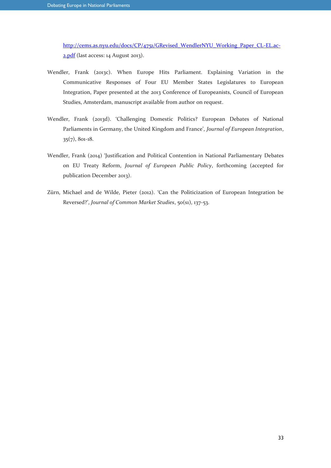[http://cems.as.nyu.edu/docs/CP/4751/GRevised\\_WendlerNYU\\_Working\\_Paper\\_CL-EL.ac-](http://cems.as.nyu.edu/docs/CP/4751/GRevised_WendlerNYU_Working_Paper_CL-EL.ac-2.pdf)[2.pdf](http://cems.as.nyu.edu/docs/CP/4751/GRevised_WendlerNYU_Working_Paper_CL-EL.ac-2.pdf) (last access: 14 August 2013).

- Wendler, Frank (2013c). When Europe Hits Parliament. Explaining Variation in the Communicative Responses of Four EU Member States Legislatures to European Integration, Paper presented at the 2013 Conference of Europeanists, Council of European Studies, Amsterdam, manuscript available from author on request.
- Wendler, Frank (2013d). 'Challenging Domestic Politics? European Debates of National Parliaments in Germany, the United Kingdom and France', *Journal of European Integration*, 35(7), 801-18.
- Wendler, Frank (2014) 'Justification and Political Contention in National Parliamentary Debates on EU Treaty Reform, *Journal of European Public Policy*, forthcoming (accepted for publication December 2013).
- Zürn, Michael and de Wilde, Pieter (2012). 'Can the Politicization of European Integration be Reversed?', *Journal of Common Market Studies*, 50(s1), 137-53.